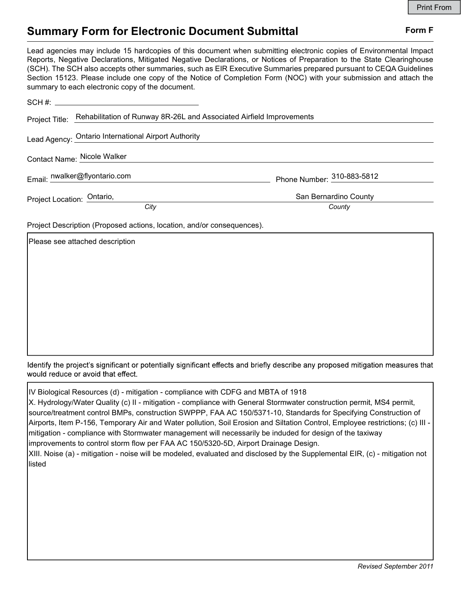## Summary Form for Electronic Document Submittal Form F

Lead agencies may include 15 hardcopies of this document when submitting electronic copies of Environmental Impact Reports, Negative Declarations, Mitigated Negative Declarations, or Notices of Preparation to the State Clearinghouse (SCH). The SCH also accepts other summaries, such as EIR Executive Summaries prepared pursuant to CEQA Guidelines Section 15123. Please include one copy of the Notice of Completion Form (NOC) with your submission and attach the summary to each electronic copy of the document.

| Project Title: Rehabilitation of Runway 8R-26L and Associated Airfield Improvements |                            |
|-------------------------------------------------------------------------------------|----------------------------|
| Lead Agency: Ontario International Airport Authority                                |                            |
| Contact Name: Nicole Walker                                                         |                            |
| Email: nwalker@flyontario.com                                                       | Phone Number: 310-883-5812 |
| Project Location: Ontario,                                                          | San Bernardino County      |
| City                                                                                | County                     |

Project Description (Proposed actions, location, and/or consequences).

Please see attached description

Identify the project's significant or potentially significant effects and briefly describe any proposed mitigation measures that would reduce or avoid that effect.

IV Biological Resources (d) - mitigation - compliance with CDFG and MBTA of 1918

| X. Hydrology/Water Quality (c) II - mitigation - compliance with General Stormwater construction permit, MS4 permit,          |
|-------------------------------------------------------------------------------------------------------------------------------|
| source/treatment control BMPs, construction SWPPP, FAA AC 150/5371-10, Standards for Specifying Construction of               |
| Airports, Item P-156, Temporary Air and Water pollution, Soil Erosion and Siltation Control, Employee restrictions; (c) III - |
| mitigation - compliance with Stormwater management will necessarily be induded for design of the taxiway                      |
| improvements to control storm flow per FAA AC 150/5320-5D, Airport Drainage Design.                                           |
| XIII. Noise (a) - mitigation - noise will be modeled, evaluated and disclosed by the Supplemental EIR, (c) - mitigation not   |
| listed                                                                                                                        |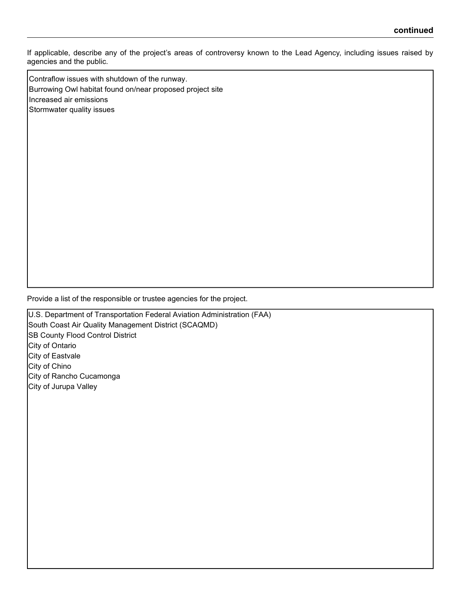If applicable, describe any of the project's areas of controversy known to the Lead Agency, including issues raised by agencies and the public.

Contraflow issues with shutdown of the runway. Burrowing Owl habitat found on/near proposed project site Increased air emissions Stormwater quality issues

Provide a list of the responsible or trustee agencies for the project.

U.S. Department of Transportation Federal Aviation Administration (FAA) South Coast Air Quality Management District (SCAQMD) **SB County Flood Control District** City of Ontario City of Eastvale City of Chino City of Rancho Cucamonga City of Jurupa Valley